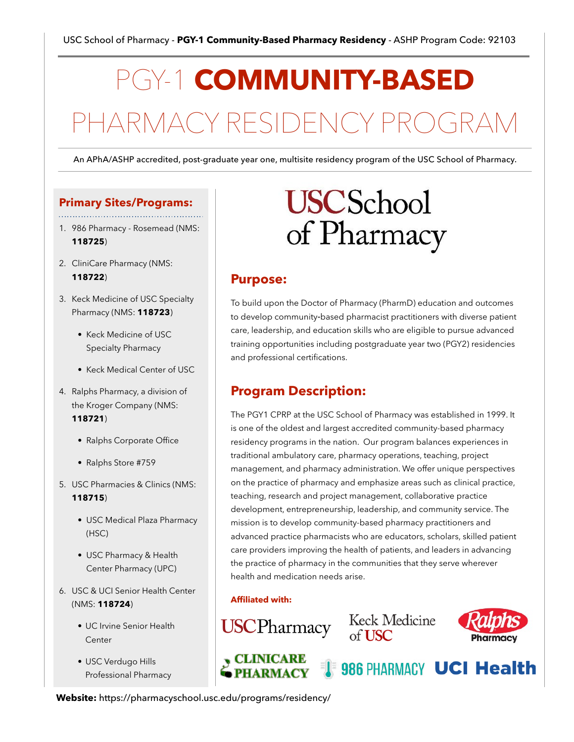# PGY-1 **COMMUNITY-BASED** PHARMACY RESIDENCY PRO

An APhA/ASHP accredited, post-graduate year one, multisite residency program of the USC School of Pharmacy.

### **Primary Sites/Programs:**

- 1. 986 Pharmacy - Rosemead (NMS: **118725**)
- 2. CliniCare Pharmacy (NMS: **118722**)
- 3. Keck Medicine of USC Specialty Pharmacy (NMS: **118723**)
	- Keck Medicine of USC Specialty Pharmacy
	- Keck Medical Center of USC
- 4. Ralphs Pharmacy, a division of the Kroger Company (NMS: **118721**)
	- Ralphs Corporate Office
	- Ralphs Store #759
- 5. USC Pharmacies & Clinics (NMS: **118715**)
	- USC Medical Plaza Pharmacy (HSC)
	- USC Pharmacy & Health Center Pharmacy (UPC)
- 6. USC & UCI Senior Health Center (NMS: **118724**)
	- UC Irvine Senior Health **Center**
	- USC Verdugo Hills Professional Pharmacy

# **USC**School of Pharmacy

## **Purpose:**

To build upon the Doctor of Pharmacy (PharmD) education and outcomes to develop community‐based pharmacist practitioners with diverse patient care, leadership, and education skills who are eligible to pursue advanced training opportunities including postgraduate year two (PGY2) residencies and professional certifications.

## **Program Description:**

The PGY1 CPRP at the USC School of Pharmacy was established in 1999. It is one of the oldest and largest accredited community-based pharmacy residency programs in the nation. Our program balances experiences in traditional ambulatory care, pharmacy operations, teaching, project management, and pharmacy administration. We offer unique perspectives on the practice of pharmacy and emphasize areas such as clinical practice, teaching, research and project management, collaborative practice development, entrepreneurship, leadership, and community service. The mission is to develop community-based pharmacy practitioners and advanced practice pharmacists who are educators, scholars, skilled patient care providers improving the health of patients, and leaders in advancing the practice of pharmacy in the communities that they serve wherever health and medication needs arise.

#### **Affiliated with:**

**USCPharmacy** 

y CLINICARE



**IS 986 PHARMACY UCI Health** 



**Website:** https://pharmacyschool.usc.edu/programs/residency/